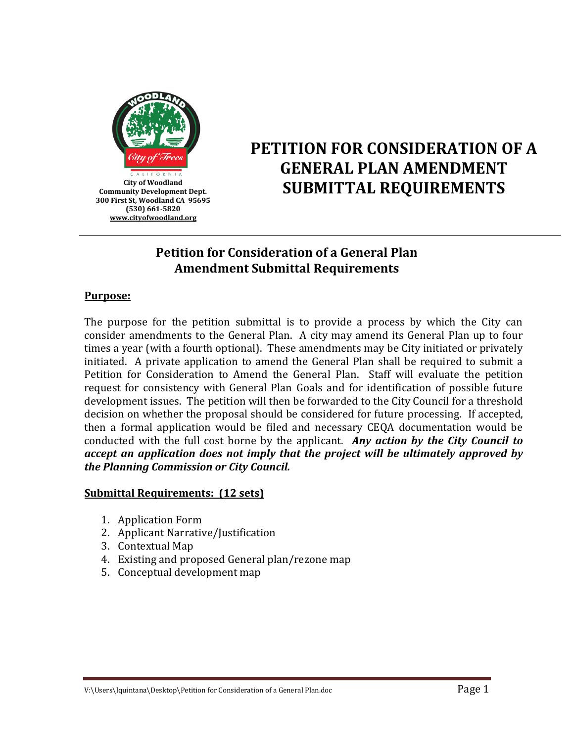

# **PETITION FOR CONSIDERATION OF A GENERAL PLAN AMENDMENT**  City of Woodland<br>unity Development Dept. **SUBMITTAL REQUIREMENTS**

# **Petition for Consideration of a General Plan Amendment Submittal Requirements**

### **Purpose:**

The purpose for the petition submittal is to provide a process by which the City can consider amendments to the General Plan. A city may amend its General Plan up to four times a year (with a fourth optional). These amendments may be City initiated or privately initiated. A private application to amend the General Plan shall be required to submit a Petition for Consideration to Amend the General Plan. Staff will evaluate the petition request for consistency with General Plan Goals and for identification of possible future development issues. The petition will then be forwarded to the City Council for a threshold decision on whether the proposal should be considered for future processing. If accepted, then a formal application would be filed and necessary CEQA documentation would be conducted with the full cost borne by the applicant. *Any action by the City Council to accept an application does not imply that the project will be ultimately approved by the Planning Commission or City Council.*

# **Submittal Requirements: (12 sets)**

- 1. Application Form
- 2. Applicant Narrative/Justification
- 3. Contextual Map
- 4. Existing and proposed General plan/rezone map
- 5. Conceptual development map